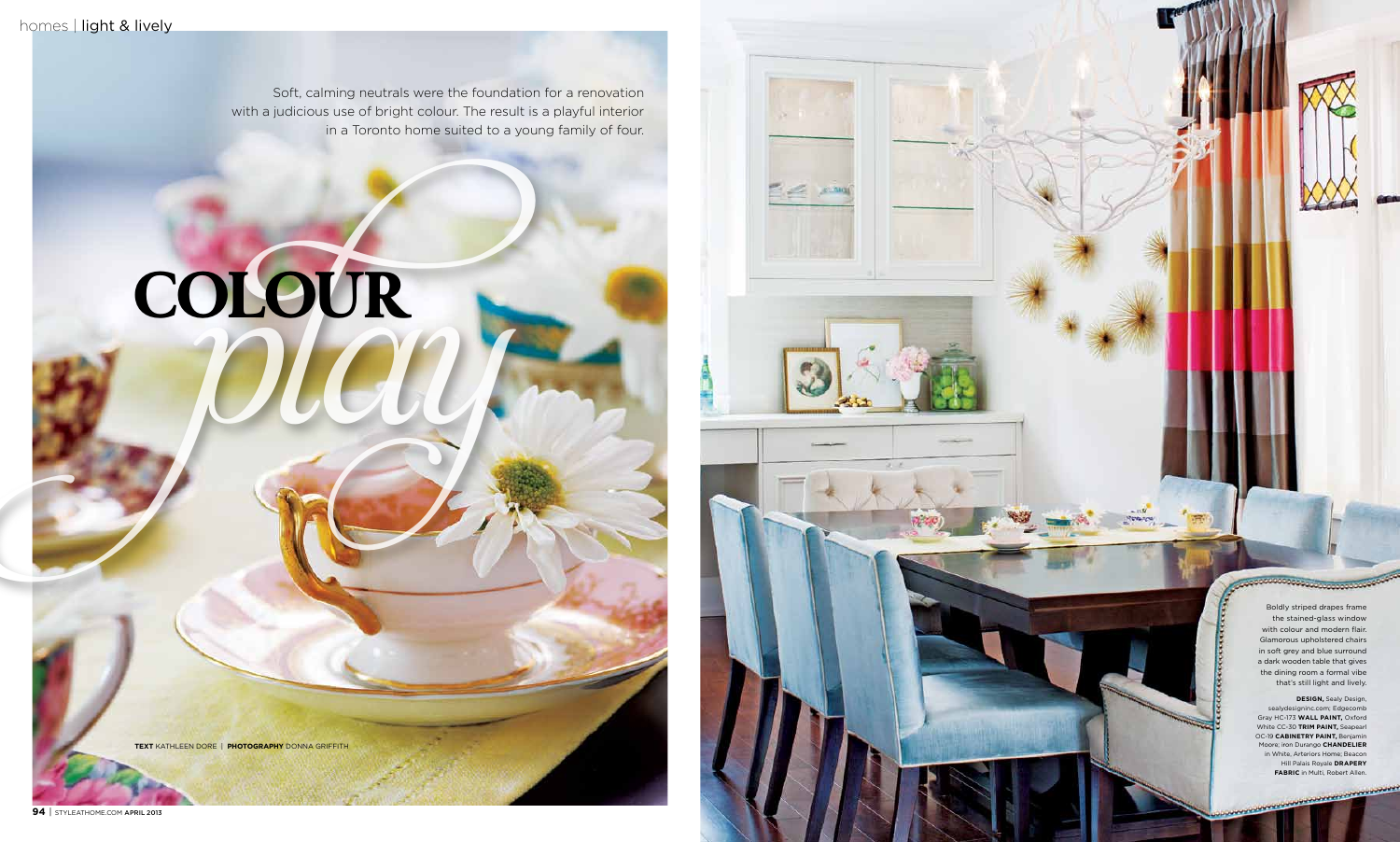styleathome.com April 2013 | **95**

play **colour**

Boldly striped drapes frame the stained-glass window with colour and modern flair. Glamorous upholstered chairs in soft grey and blue surround a dark wooden table that gives the dining room a formal vibe that's still light and lively.

**DESIGN, Sealy Design,** sealydesigninc.com; Edgecomb Gray HC-173 **wall paint,** Oxford White CC-30 **Trim paint,** Seapearl OC-19 **cabinetry paint,** Benjamin Moore; iron Durango **CHANDELIER** in White, Arteriors Home; Beacon Hill Palais Royale **Drapery fabric** in Multi, Robert Allen.

Soft, calming neutrals were the foundation for a renovation with a judicious use of bright colour. The result is a playful interior in a Toronto home suited to a young family of four.

 $\mathbb{Z}$  xxing

**text** kathleen dore | **photography** donna griffith

**94** | STYLEATHOME.COM APRIL 2013

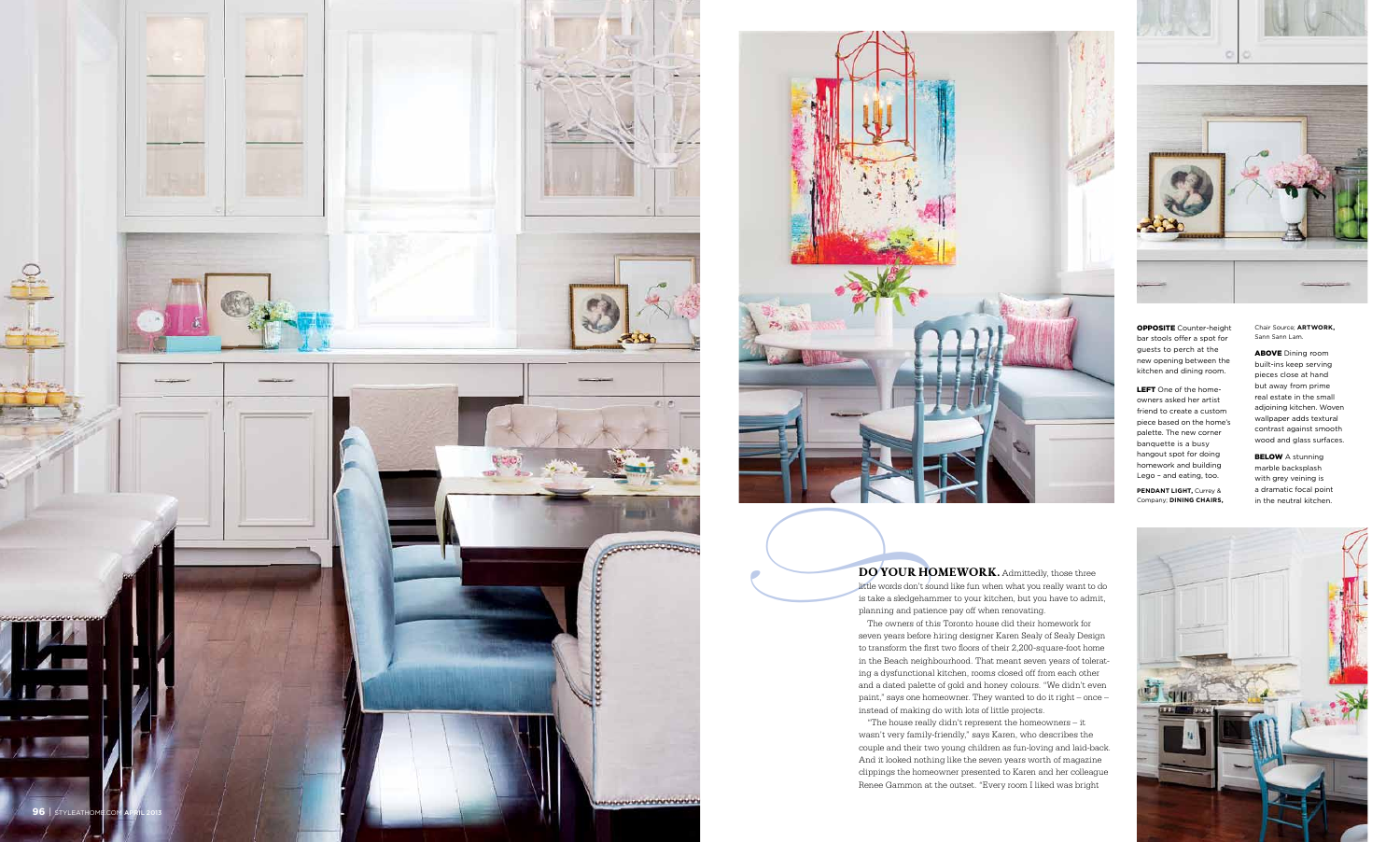**OPPOSITE** Counter-height bar stools offer a spot for guests to perch at the new opening between the kitchen and dining room.

LEFT One of the homeowners asked her artist friend to create a custom piece based on the home's palette. The new corner banquette is a busy hangout spot for doing homework and building Lego – and eating, too.

**PENDANT LIGHT, Currey &** Company; **dining c hairs,** 

**ABOVE** Dining room built-ins keep serving pieces close at hand but away from prime real estate in the small adjoining kitchen. Woven wallpaper adds textural contrast against smooth wood and glass surfaces.

BELOW A stunning marble backsplash with grey veining is a dramatic focal point in the neutral kitchen.



Chair Source; **artwork,** Sann Sann Lam.

**DO YOUR HOMEWORK.** Admittedly, those three little words don't sound like fun when what you really want to is take a sledgehammer to your kitchen, but you have to adm planning and patience pay off when renovating. The owne little words don't sound like fun when what you really want to do is take a sledgehammer to your kitchen, but you have to admit, planning and patience pay off when renovating.





The owners of this Toronto house did their homework for seven years before hiring designer Karen Sealy of Sealy Design to transform the first two floors of their 2,200-square-foot home in the Beach neighbourhood. That meant seven years of tolerat ing a dysfunctional kitchen, rooms closed off from each other and a dated palette of gold and honey colours. "We didn't even paint," says one homeowner. They wanted to do it right – once – instead of making do with lots of little projects.

"The house really didn't represent the homeowners – it wasn't very family-friendly," says Karen, who describes the couple and their two young children as fun-loving and laid-back. And it looked nothing like the seven years worth of magazine clippings the homeowner presented to Karen and her colleague Renee Gammon at the outset. "Every room I liked was bright